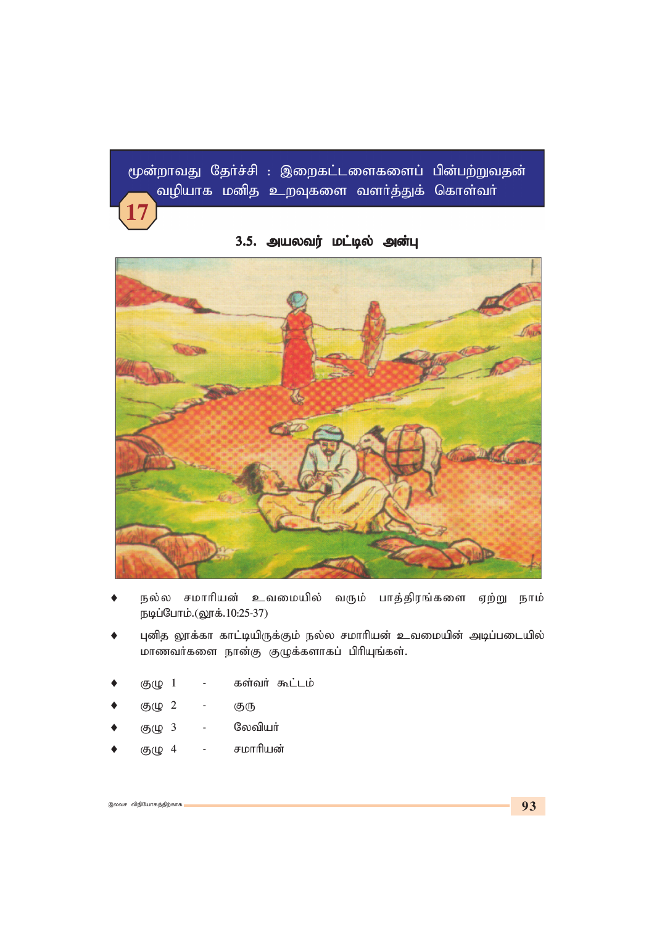மூன்றாவது தேர்ச்சி : இறைகட்டளைகளைப் பின்பற்றுவதன் வழியாக மனித உறவுகளை வளர்த்துக் கொள்வர் **17**

# 3.5. அயலவர் மட்டில் அன்பு



- நல்ல சமாரியன் உவமையில் வரும் பாத்திரங்களை ஏற்று நாம் *ebg;Nghk;.(Y}f;.10:25-37)*
- புனித லூக்கா காட்டியிருக்கும் நல்ல சமாரியன் உவமையின் அடிப்படையில் *khztHfis ehd;F FOf;fshfg; gphpAq;fs;.*
- குழு 1 கள்வர் கூட்டம்
- ♦ *FO 2 - FU*
- குழு 3 லேவியர்
- ♦ *FO 4 - rkhhpad;*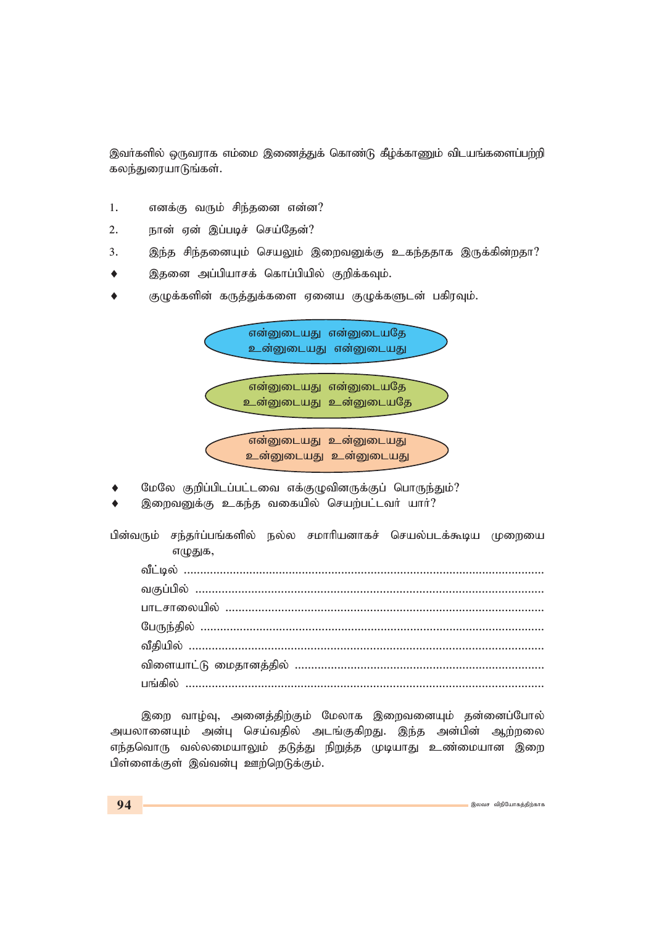இவர்களில் ஒருவராக எம்மை இணைத்துக் கொண்டு கீழ்க்காணும் விடயங்களைப்பற்றி கலந்துரையாடுங்கள்.

- 1. எனக்கு வரும் சிந்தனை என்ன?
- 2. **நான் ஏன் இப்படிச் செய்தேன்?**
- 3. இந்த சிந்தனையும் செயலும் இறைவனுக்கு உகந்ததாக இருக்கின்றதா?
- இதனை அப்பியாசக் கொப்பியில் குறிக்கவும்.
- ♦ குழுக்களின் கருத்துக்களை ஏனைய குழுக்களுடன் பகிரவும்.

என்னுடையது என்னுடையதே <u>உன்னுடையது</u> என்னுடையது

என்னுடையது என்னுடையதே உன்னுடையது உன்னுடையதே

.என்னுடையது உன்னுடையது உன்னுடையது உன்னுடையது

- மேலே குறிப்பிடப்பட்டவை எக்குழுவினருக்குப் பொருந்தும்?
- இறைவனுக்கு உகந்த வகையில் செயற்பட்டவர் யார்?

பின்வரும் சந்தர்ப்பங்களில் நல்ல சமாரியனாகச் செயல்படக்கூடிய முறையை எழுதுக,

*tPl;by; .............................................................................................................. tFg;gpy; .......................................................................................................... ghlrhiyapy; ................................................................................................. NgUe;jpy; ......................................................................................................... tPjpapy; ............................................................................................................ tpisahl;L ikjhdj;jpy; ............................................................................ gq;fpy; .............................................................................................................*

இறை வாழ்வு, அனைத்திற்கும் மேலாக இறைவனையும் தன்னைப்போல் அயலானையும் அன்பு செய்வதில் அடங்குகிறது. இந்த அன்பின் ஆற்றலை எந்தவொரு வல்லமையாலும் தடுத்து நிறுத்த முடியாது உண்மையான இறை பிள்ளைக்குள் இவ்வன்பு ஊற்றெடுக்கும்.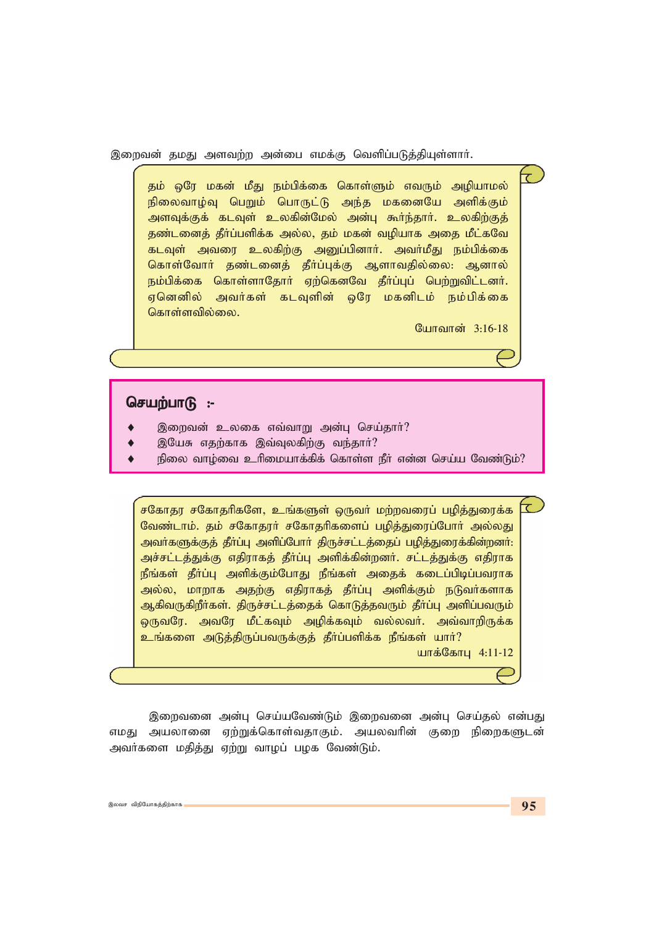இறைவன் தமது அளவற்ற அன்பை எமக்கு வெளிப்படுத்தியுள்ளார்.

தம் ஒரே மகன் மீது நம்பிக்கை கொள்ளும் எவரும் அழியாமல் நிலைவாழ்வு பெறும் பொருட்டு அந்த மகனையே அளிக்கும் அளவுக்குக் கடவுள் உலகின்மேல் அன்பு கூர்ந்தார். உலகிற்குத் தண்டனைத் தீா்ப்பளிக்க அல்ல, தம் மகன் வழியாக அதை மீட்கவே கடவுள் அவரை உலகிற்கு அனுப்பினார். அவர்மீது நம்பிக்கை கொள்வோர் தண்டனைத் தீர்ப்புக்கு ஆளாவதில்லை: ஆனால் நம்பிக்கை கொள்ளாதோர் ஏற்கெனவே தீர்ப்புப் பெற்றுவிட்டனர். ஏனெனில் அவர்கள் கடவுளின் ஒரே மகனிடம் நம்பிக்கை கொள்ளவில்லை.

போவான் 3:16-18

 $\overline{\mathcal{C}}$ 

### செயற்பாடு:-

- இறைவன் உலகை எவ்வாறு அன்பு செய்தார்?
- இயேசு எதற்காக இவ்வுலகிற்கு வந்தார்?
- நிலை வாழ்வை உரிமையாக்கிக் கொள்ள நீா் என்ன செய்ய வேண்டும்?

சகோதர சகோதரிகளே, உங்களுள் ஒருவர் மற்றவரைப் பழித்துரைக்க வேண்டாம். தம் சகோதரர் சகோதரிகளைப் பழித்துரைப்போர் அல்லது அவர்களுக்குத் தீர்ப்பு அளிப்போர் திருச்சட்டத்தைப் பழித்துரைக்கின்றனர்: அச்சட்டத்துக்கு எதிராகத் தீா்ப்பு அளிக்கின்றனா். சட்டத்துக்கு எதிராக நீங்கள் தீா்ப்பு அளிக்கும்போது நீங்கள் அதைக் கடைப்பிடிப்பவராக அல்ல, மாறாக அதற்கு எதிராகத் தீா்ப்பு அளிக்கும் நடுவா்களாக ஆகிவருகிறீா்கள். திருச்சட்டத்தைக் கொடுத்தவரும் தீா்ப்பு அளிப்பவரும் ஒருவரே. அவரே மீட்கவும் அழிக்கவும் வல்லவர். அவ்வாறிருக்க உங்களை அடுத்திருப்பவருக்குத் தீர்ப்பளிக்க நீங்கள் யார்? யாக்கோபு 4:11-12

இறைவனை அன்பு செய்யவேண்டும் இறைவனை அன்பு செய்தல் என்பது எமது அயலானை ஏற்றுக்கொள்வதாகும். அயலவரின் குறை நிறைகளுடன் அவர்களை மதித்து ஏற்று வாழப் பழக வேண்டும்.

टि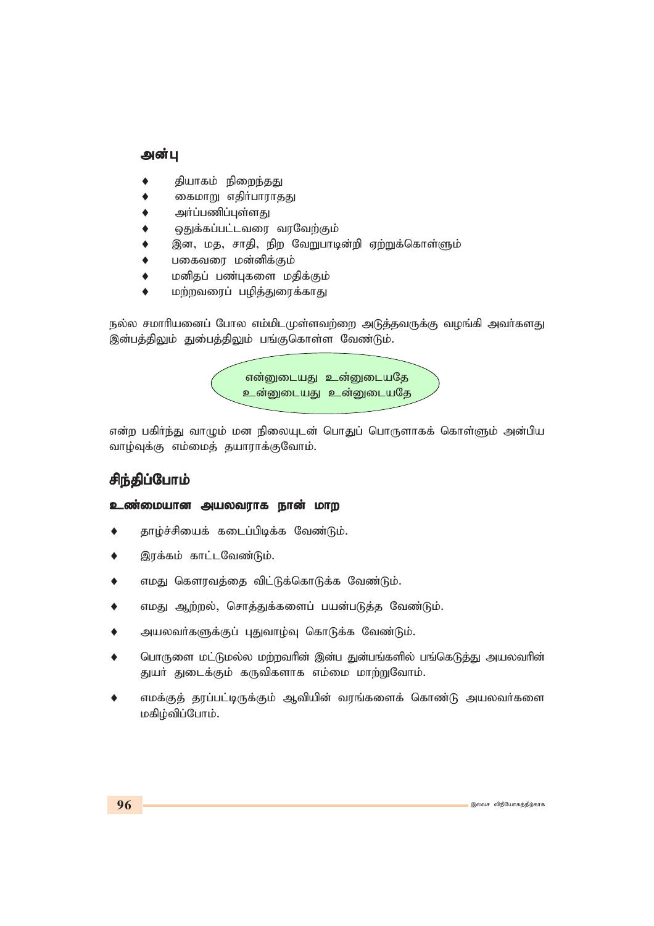### அன்பு

- தியாகம் நிறைந்<u>தத</u>ு
- கைமாறு எதிர்பாராதது
- அர்ப்பணிப்புள்ளது
- ஒதுக்கப்பட்டவரை வரவேற்கும்
- இன, மத, சாதி, நிற வேறுபாடின்றி ஏற்றுக்கொள்ளும்
- பகைவரை மன்னிக்கும்
- மனிதப் பண்புகளை மதிக்கும்
- மற்றவரைப் பழித்துரைக்காது

நல்ல சமாரியனைப் போல எம்மிடமுள்ளவற்றை அடுத்தவருக்கு வழங்கி அவர்களது இன்பத்திலும் து**மைத்திலும் பங்குகொள்ள வேண்டும்.** 



என்ற பகிர்ந்து வாழும் மன நிலையுடன் பொதுப் பொருளாகக் கொள்ளும் அன்பிய வாழ்வுக்கு எம்மைத் தயாராக்குவோம்.

## *rpe;jpg;Nghk; rpe;jpg;Nghk;rpe;jpg;Nghk;*

#### **உண்மையான அயலவராக நான் மாற**

- தாழ்ச்சியைக் கடைப்பிடிக்க வேண்டும்.
- இரக்கம் காட்டவேண்டும்.
- எமது கௌரவத்தை விட்டுக்கொடுக்க வேண்டும்.
- எமது ஆற்றல், சொத்துக்களைப் பயன்படுத்த வேண்டும்.
- அயலவர்களுக்குப் புதுவாழ்வு கொடுக்க வேண்டும்.
- பொருளை மட்டுமல்ல மற்றவரின் இன்ப துன்பங்களில் பங்கெடுத்து அயலவரின் துயா் துடைக்கும் கருவிகளாக எம்மை மாற்றுவோம்.
- ♦ எமக்குத் தரப்பட்டிருக்கும் ஆவியின் வரங்களைக் கொண்டு அயலவா்களை *kfpo;tpg;Nghk;.*